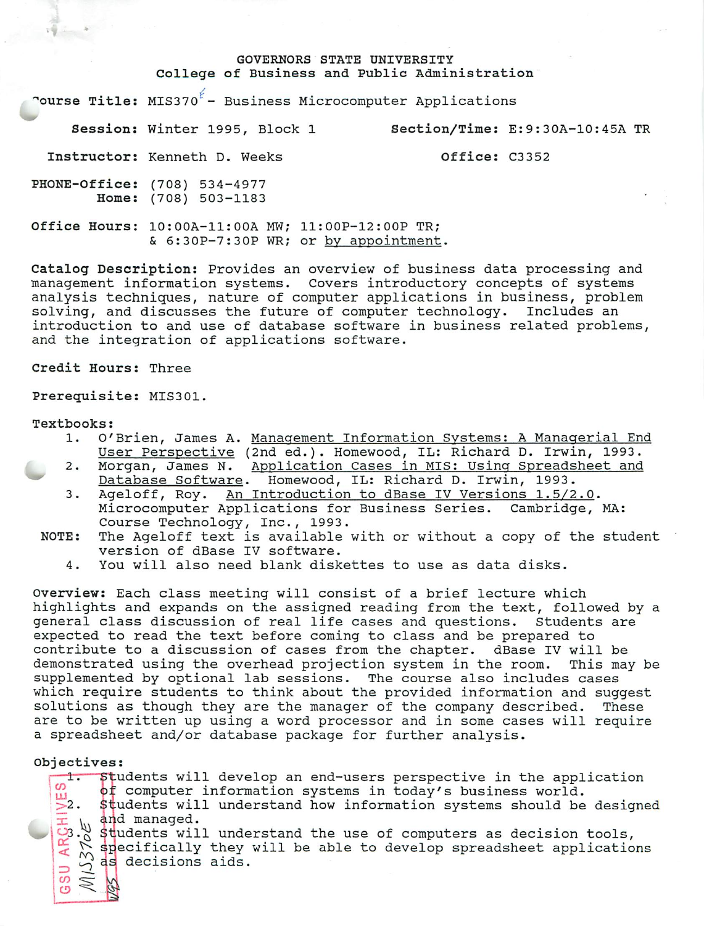#### GOVERNORS STATE UNIVERSITY College of Business and Public Administration

"ourse Title:  $MIS370^{\ell}$  - Business Microcomputer Applications

Session: Winter 1995, Block 1 Section/Time: E:9:30A-10:45A TR

Instructor: Kenneth D. Weeks **Office: C3352** 

PHONE-Office: (708) 534-4977 Home: (708) 503-1183

Office Hours: 10:00A-11:00A MW; 11:00P-12:OOP TR; & 6:30P-7:30P WR; or by appointment.

Catalog Description: Provides an overview of business data processing and management information systems. Covers introductory concepts of systems analysis techniques, nature of computer applications in business, problem solving, and discusses the future of computer technology. Includes an introduction to and use of database software in business related problems, and the integration of applications software.

Credit Hours: Three

Prerequisite: MIS301.

#### Textbooks:

- 1. O'Brien, James A. Management Information Systems: A Managerial End User Perspective (2nd ed.). Homewood, IL: Richard D. Irwin, 1993.
- 2. Morgan, James N. Application Cases in MIS: Using Spreadsheet and Database Software. Homewood, IL: Richard D. Irwin, 1993.
- 3. Ageloff, Roy. An Introduction to dBase IV Versions 1.5/2.0. Microcomputer Applications for Business Series. Cambridge, MA: Course Technology, Inc., 1993.
- NOTE: The Ageloff text is available with or without a copy of the student version of dBase IV software.
	- 4. You will also need blank diskettes to use as data disks.

Overview: Each class meeting will consist of a brief lecture which highlights and expands on the assigned reading from the text, followed by a general class discussion of real life cases and questions. Students are expected to read the text before coming to class and be prepared to contribute to a discussion of cases from the chapter. dBase IV will be demonstrated using the overhead projection system in the room. This may be supplemented by optional lab sessions. The course also includes cases which require students to think about the provided information and suggest solutions as though they are the manager of the company described. These are to be written up using a word processor and in some cases will require a spreadsheet and/or database package for further analysis.

#### Objectives:

 $\infty$  $\ddot{\circ}$ 

1. Students will develop an end-users perspective in the application of computer information systems in today's business world. **2.** Students will understand how information systems should be designed  $\overline{\pm}$  in and managed. 3. Students will understand the use of computers as decision tools,  $\sum_{n=1}^{\infty}$  specifically they will be able to develop spreadsheet applications  $\frac{d}{d}$   $\frac{d}{d}$  as decisions aids.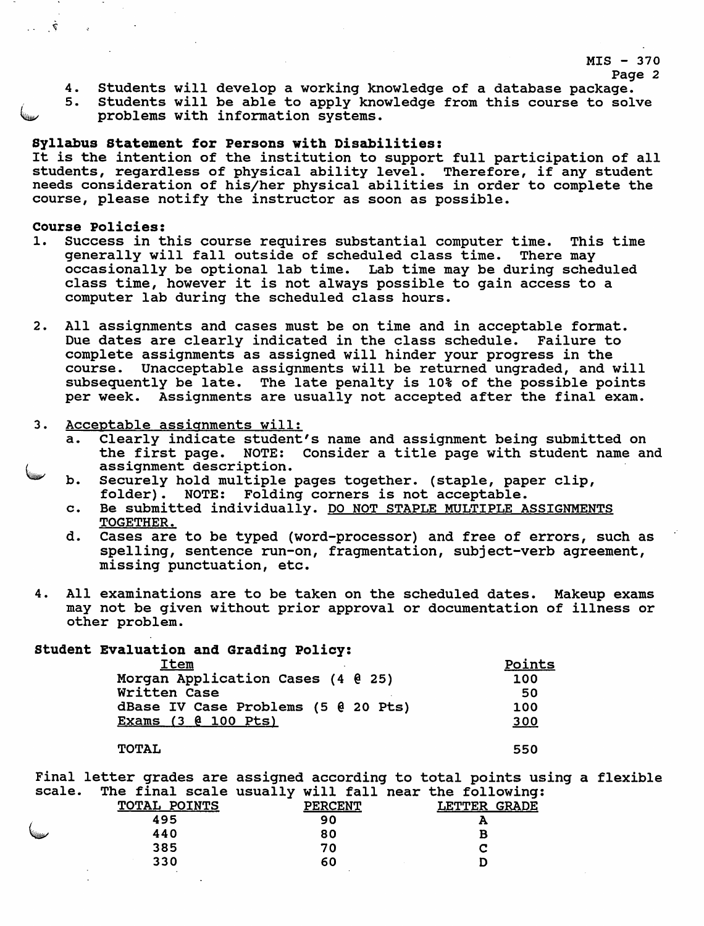# MIS - 370

- Page 2
- 4. Students will develop a working knowledge of a database package.
- 5. Students will be able to apply knowledge from this course to solve problems with information systems.

## Syllabus Statement for Persons with Disabilities:

It is the intention of the institution to support full participation of all students, regardless of physical ability level. Therefore, if any student needs consideration of his/her physical abilities in order to complete the course, please notify the instructor as soon as possible.

## Course Policies:

 $\tilde{\mathcal{V}}_1 = \ldots$ 

 $\sim$ 

- 1. Success in this course requires substantial computer time. This time generally will fall outside of scheduled class time. There may occasionally be optional lab time. Lab time may be during scheduled class time, however it is not always possible to gain access to a computer lab during the scheduled class hours.
- 2. All assignments and cases must be on time and in acceptable format. Due dates are clearly indicated in the class schedule. Failure to complete assignments as assigned will hinder your progress in the course. Unacceptable assignments will be returned ungraded, and will subsequently be late. The late penalty is 10% of the possible points per week. Assignments are usually not accepted after the final exam.
- 3. Acceptable assignments will:
	- a. Clearly indicate student's name and assignment being submitted on the first page. NOTE: Consider a title page with student name and assignment description.
	- **my** b. Securely hold multiple pages together, (staple, paper clip, folder). NOTE: Folding corners is not acceptable.
	- c. Be submitted individually. DO NOT STAPLE MULTIPLE ASSIGNMENTS TOGETHER.
	- d. Cases are to be typed (word-processor) and free of errors, such as spelling, sentence run-on, fragmentation, subject-verb agreement, missing punctuation, etc.
- 4. All examinations are to be taken on the scheduled dates. Makeup exams may not be given without prior approval or documentation of illness or other problem.

# Student Evaluation and Grading Policy:

| Item                                | Points |
|-------------------------------------|--------|
| Morgan Application Cases (4 0 25)   | 100    |
| Written Case                        | 50     |
| dBase IV Case Problems (5 @ 20 Pts) | 100    |
| Exams (3 @ 100 Pts)                 | 300    |
|                                     |        |
| <b>TOTAL</b>                        | 550    |

Final letter grades are assigned according to total points using a flexible scale. The final scale usually will fall near the following:

|         |              | .<br>_ _ _ _   |                               |
|---------|--------------|----------------|-------------------------------|
|         | TOTAL POINTS | <b>PERCENT</b> | <b>LETTER</b><br><b>GRADE</b> |
|         | 495          | 90             | Ð                             |
| Village | 440          | 80             |                               |
|         | 385          | 70             |                               |
|         | 330          | 60             |                               |
|         | $\sim$       |                |                               |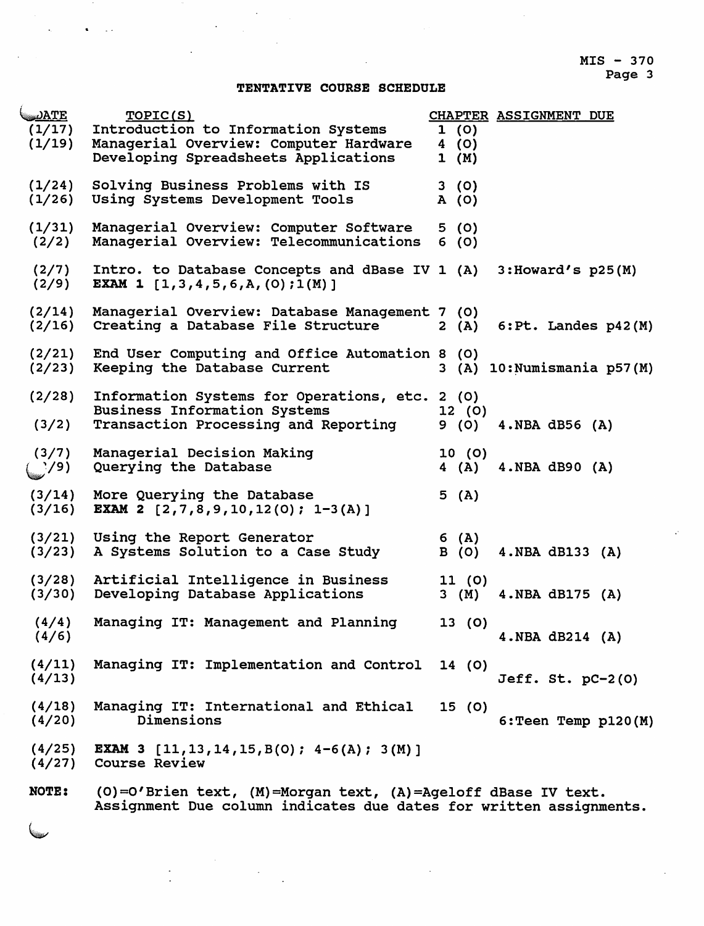### TENTATIVE COURSE SCHEDULE

| <u> DATE</u><br>(1/17)<br>(1/19) | TOPIC(S)<br>Introduction to Information Systems<br>Managerial Overview: Computer Hardware<br>Developing Spreadsheets Applications | CHAPTER ASSIGNMENT DUE<br>1(0)<br>4(0)<br>1 (M) |
|----------------------------------|-----------------------------------------------------------------------------------------------------------------------------------|-------------------------------------------------|
| (1/24)<br>(1/26)                 | Solving Business Problems with IS<br>Using Systems Development Tools                                                              | 3(0)<br>A(0)                                    |
| (1/31)<br>(2/2)                  | Managerial Overview: Computer Software<br>Managerial Overview: Telecommunications                                                 | 5(0)<br>6(0)                                    |
| (2/7)<br>(2/9)                   | Intro. to Database Concepts and dBase IV 1 (A)<br>EXAM 1 $[1,3,4,5,6,A,(0);1(M)]$                                                 | $3:$ Howard's $p25(M)$                          |
| (2/14)<br>(2/16)                 | Managerial Overview: Database Management 7 (0)<br>Creating a Database File Structure                                              | 6: Pt. Landes p42(M)<br>2(A)                    |
| (2/21)<br>(2/23)                 | End User Computing and Office Automation 8 (0)<br>Keeping the Database Current                                                    | 3 (A) 10: Numismania p57(M)                     |
| (2/28)<br>(3/2)                  | Information Systems for Operations, etc. 2 (0)<br><b>Business Information Systems</b><br>Transaction Processing and Reporting     | 12(0)<br>9 (0)<br>$4. NBA$ $dB56 (A)$           |
| (3/7)<br>$($ $\frac{1}{2}$ /9)   | Managerial Decision Making<br>Querying the Database                                                                               | 10(0)<br>4(A)<br>$4.NBA$ dB90 $(A)$             |
| (3/14)<br>(3/16)                 | More Querying the Database<br><b>EXAM 2</b> $[2,7,8,9,10,12(0); 1-3(A)]$                                                          | 5(A)                                            |
| (3/21)<br>(3/23)                 | Using the Report Generator<br>A Systems Solution to a Case Study                                                                  | 6 (A)<br>4. NBA dB133 (A)<br>B (O)              |
| (3/28)<br>(3/30)                 | Artificial Intelligence in Business<br>Developing Database Applications                                                           | 11(0)<br>$3 \t(M)$<br>4.NBA dB175 (A)           |
| (4/4)<br>(4/6)                   | Managing IT: Management and Planning                                                                                              | 13(0)<br>4. NBA $dB214$ (A)                     |
| (4/11)<br>(4/13)                 | Managing IT: Implementation and Control 14 (0)                                                                                    | Jeff. St. $pc-2(0)$                             |
| (4/18)<br>(4/20)                 | Managing IT: International and Ethical<br>Dimensions                                                                              | 15(0)<br>$6:$ Teen Temp $p120(M)$               |
| (4/25)<br>(4/27)                 | <b>EXAM 3</b> $[11, 13, 14, 15, B(0); 4-6(A); 3(M)]$<br><b>Course Review</b>                                                      |                                                 |
| NOTE:                            | (0)=0'Brien text, (M)=Morgan text, (A)=Ageloff dBase IV text.                                                                     |                                                 |

Assignment Due column indicates due dates for written assignments.